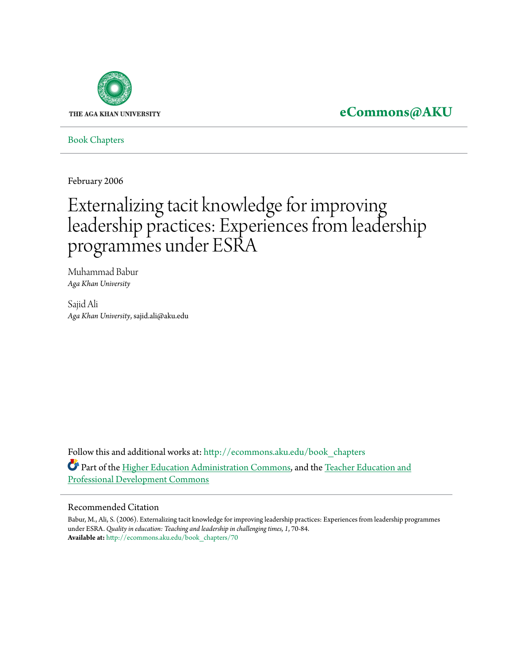

# **[eCommons@AKU](http://ecommons.aku.edu?utm_source=ecommons.aku.edu%2Fbook_chapters%2F70&utm_medium=PDF&utm_campaign=PDFCoverPages)**

[Book Chapters](http://ecommons.aku.edu/book_chapters?utm_source=ecommons.aku.edu%2Fbook_chapters%2F70&utm_medium=PDF&utm_campaign=PDFCoverPages)

February 2006

# Externalizing tacit knowledge for improving leadership practices: Experiences from leadership programmes under ESRA

Muhammad Babur *Aga Khan University*

Sajid Ali *Aga Khan University*, sajid.ali@aku.edu

Follow this and additional works at: [http://ecommons.aku.edu/book\\_chapters](http://ecommons.aku.edu/book_chapters?utm_source=ecommons.aku.edu%2Fbook_chapters%2F70&utm_medium=PDF&utm_campaign=PDFCoverPages) Part of the [Higher Education Administration Commons](http://network.bepress.com/hgg/discipline/791?utm_source=ecommons.aku.edu%2Fbook_chapters%2F70&utm_medium=PDF&utm_campaign=PDFCoverPages), and the [Teacher Education and](http://network.bepress.com/hgg/discipline/803?utm_source=ecommons.aku.edu%2Fbook_chapters%2F70&utm_medium=PDF&utm_campaign=PDFCoverPages) [Professional Development Commons](http://network.bepress.com/hgg/discipline/803?utm_source=ecommons.aku.edu%2Fbook_chapters%2F70&utm_medium=PDF&utm_campaign=PDFCoverPages)

#### Recommended Citation

Babur, M., Ali, S. (2006). Externalizing tacit knowledge for improving leadership practices: Experiences from leadership programmes under ESRA. *Quality in education: Teaching and leadership in challenging times, 1*, 70-84. **Available at:** [http://ecommons.aku.edu/book\\_chapters/70](http://ecommons.aku.edu/book_chapters/70)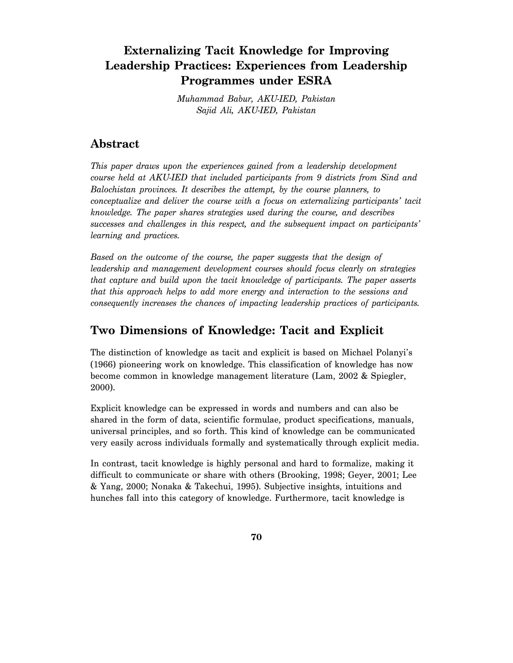# **Externalizing Tacit Knowledge for Improving Leadership Practices: Experiences from Leadership Programmes under ESRA**

*Muhammad Babur, AKU-IED, Pakistan Sajid Ali, AKU-IED, Pakistan* 

# **Abstract**

*This paper draws upon the experiences gained from a leadership development course held at AKU-IED that included participants from 9 districts from Sind and Balochistan provinces. It describes the attempt, by the course planners, to conceptualize and deliver the course with a focus on externalizing participants' tacit knowledge. The paper shares strategies used during the course, and describes successes and challenges in this respect, and the subsequent impact on participants' learning and practices.* 

*Based on the outcome of the course, the paper suggests that the design of leadership and management development courses should focus clearly on strategies that capture and build upon the tacit knowledge of participants. The paper asserts that this approach helps to add more energy and interaction to the sessions and consequently increases the chances of impacting leadership practices of participants.* 

# **Two Dimensions of Knowledge: Tacit and Explicit**

The distinction of knowledge as tacit and explicit is based on Michael Polanyi's (1966) pioneering work on knowledge. This classification of knowledge has now become common in knowledge management literature (Lam, 2002 & Spiegler, 2000).

Explicit knowledge can be expressed in words and numbers and can also be shared in the form of data, scientific formulae, product specifications, manuals, universal principles, and so forth. This kind of knowledge can be communicated very easily across individuals formally and systematically through explicit media.

In contrast, tacit knowledge is highly personal and hard to formalize, making it difficult to communicate or share with others (Brooking, 1998; Geyer, 2001; Lee & Yang, 2000; Nonaka & Takechui, 1995). Subjective insights, intuitions and hunches fall into this category of knowledge. Furthermore, tacit knowledge is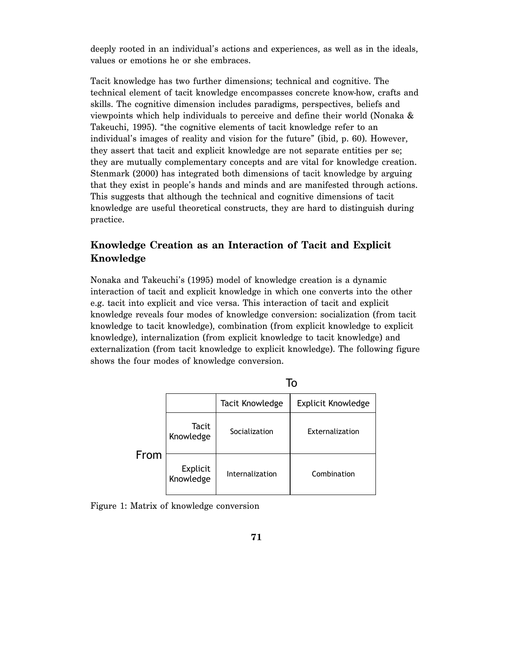deeply rooted in an individual's actions and experiences, as well as in the ideals, values or emotions he or she embraces.

Tacit knowledge has two further dimensions; technical and cognitive. The technical element of tacit knowledge encompasses concrete know-how, crafts and skills. The cognitive dimension includes paradigms, perspectives, beliefs and viewpoints which help individuals to perceive and define their world (Nonaka & Takeuchi, 1995). "the cognitive elements of tacit knowledge refer to an individual's images of reality and vision for the future" (ibid, p. 60). However, they assert that tacit and explicit knowledge are not separate entities per se; they are mutually complementary concepts and are vital for knowledge creation. Stenmark (2000) has integrated both dimensions of tacit knowledge by arguing that they exist in people's hands and minds and are manifested through actions. This suggests that although the technical and cognitive dimensions of tacit knowledge are useful theoretical constructs, they are hard to distinguish during practice.

#### **Knowledge Creation as an Interaction of Tacit and Explicit Knowledge**

Nonaka and Takeuchi's (1995) model of knowledge creation is a dynamic interaction of tacit and explicit knowledge in which one converts into the other e.g. tacit into explicit and vice versa. This interaction of tacit and explicit knowledge reveals four modes of knowledge conversion: socialization (from tacit knowledge to tacit knowledge), combination (from explicit knowledge to explicit knowledge), internalization (from explicit knowledge to tacit knowledge) and externalization (from tacit knowledge to explicit knowledge). The following figure shows the four modes of knowledge conversion.

To

|      |                       | . .                    |                           |  |
|------|-----------------------|------------------------|---------------------------|--|
|      |                       | <b>Tacit Knowledge</b> | <b>Explicit Knowledge</b> |  |
| From | Tacit<br>Knowledge    | Socialization          | Externalization           |  |
|      | Explicit<br>Knowledge | Internalization        | Combination               |  |

Figure 1: Matrix of knowledge conversion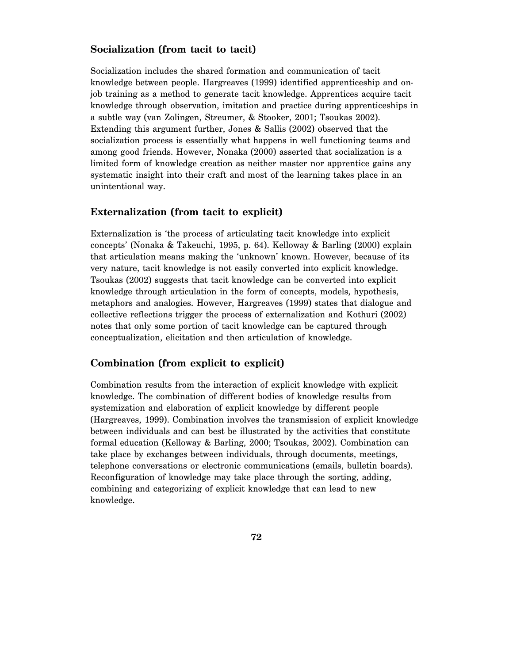#### **Socialization (from tacit to tacit)**

Socialization includes the shared formation and communication of tacit knowledge between people. Hargreaves (1999) identified apprenticeship and onjob training as a method to generate tacit knowledge. Apprentices acquire tacit knowledge through observation, imitation and practice during apprenticeships in a subtle way (van Zolingen, Streumer, & Stooker, 2001; Tsoukas 2002). Extending this argument further, Jones & Sallis (2002) observed that the socialization process is essentially what happens in well functioning teams and among good friends. However, Nonaka (2000) asserted that socialization is a limited form of knowledge creation as neither master nor apprentice gains any systematic insight into their craft and most of the learning takes place in an unintentional way.

#### **Externalization (from tacit to explicit)**

Externalization is 'the process of articulating tacit knowledge into explicit concepts' (Nonaka & Takeuchi, 1995, p. 64). Kelloway & Barling (2000) explain that articulation means making the 'unknown' known. However, because of its very nature, tacit knowledge is not easily converted into explicit knowledge. Tsoukas (2002) suggests that tacit knowledge can be converted into explicit knowledge through articulation in the form of concepts, models, hypothesis, metaphors and analogies. However, Hargreaves (1999) states that dialogue and collective reflections trigger the process of externalization and Kothuri (2002) notes that only some portion of tacit knowledge can be captured through conceptualization, elicitation and then articulation of knowledge.

#### **Combination (from explicit to explicit)**

Combination results from the interaction of explicit knowledge with explicit knowledge. The combination of different bodies of knowledge results from systemization and elaboration of explicit knowledge by different people (Hargreaves, 1999). Combination involves the transmission of explicit knowledge between individuals and can best be illustrated by the activities that constitute formal education (Kelloway & Barling, 2000; Tsoukas, 2002). Combination can take place by exchanges between individuals, through documents, meetings, telephone conversations or electronic communications (emails, bulletin boards). Reconfiguration of knowledge may take place through the sorting, adding, combining and categorizing of explicit knowledge that can lead to new knowledge.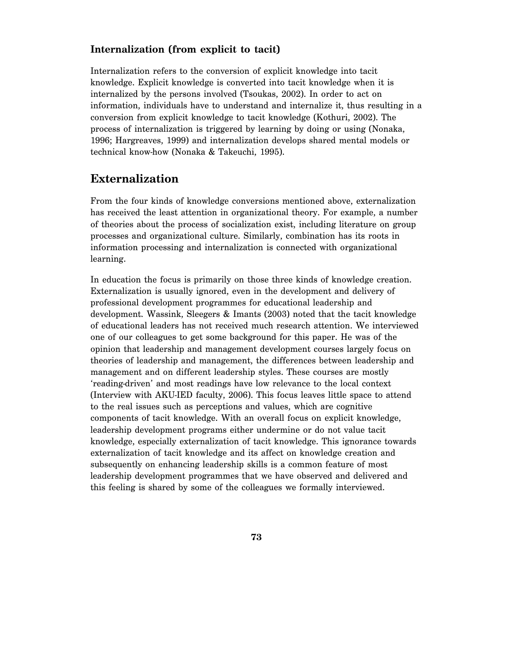#### **Internalization (from explicit to tacit)**

Internalization refers to the conversion of explicit knowledge into tacit knowledge. Explicit knowledge is converted into tacit knowledge when it is internalized by the persons involved (Tsoukas, 2002). In order to act on information, individuals have to understand and internalize it, thus resulting in a conversion from explicit knowledge to tacit knowledge (Kothuri, 2002). The process of internalization is triggered by learning by doing or using (Nonaka, 1996; Hargreaves, 1999) and internalization develops shared mental models or technical know-how (Nonaka & Takeuchi, 1995).

# **Externalization**

From the four kinds of knowledge conversions mentioned above, externalization has received the least attention in organizational theory. For example, a number of theories about the process of socialization exist, including literature on group processes and organizational culture. Similarly, combination has its roots in information processing and internalization is connected with organizational learning.

In education the focus is primarily on those three kinds of knowledge creation. Externalization is usually ignored, even in the development and delivery of professional development programmes for educational leadership and development. Wassink, Sleegers & Imants (2003) noted that the tacit knowledge of educational leaders has not received much research attention. We interviewed one of our colleagues to get some background for this paper. He was of the opinion that leadership and management development courses largely focus on theories of leadership and management, the differences between leadership and management and on different leadership styles. These courses are mostly 'reading-driven' and most readings have low relevance to the local context (Interview with AKU-IED faculty, 2006). This focus leaves little space to attend to the real issues such as perceptions and values, which are cognitive components of tacit knowledge. With an overall focus on explicit knowledge, leadership development programs either undermine or do not value tacit knowledge, especially externalization of tacit knowledge. This ignorance towards externalization of tacit knowledge and its affect on knowledge creation and subsequently on enhancing leadership skills is a common feature of most leadership development programmes that we have observed and delivered and this feeling is shared by some of the colleagues we formally interviewed.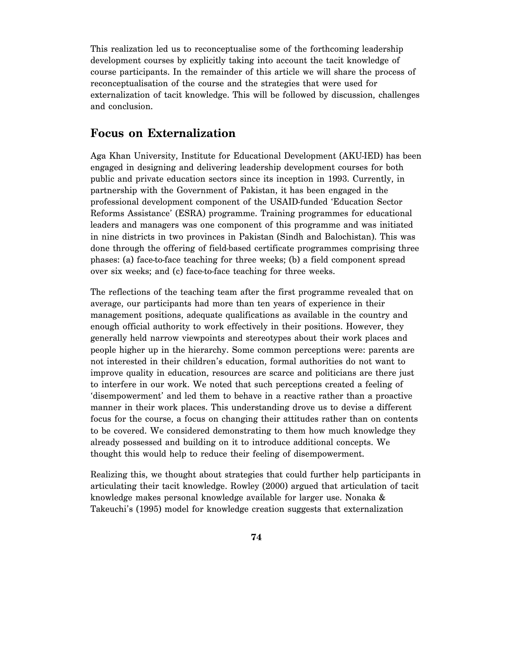This realization led us to reconceptualise some of the forthcoming leadership development courses by explicitly taking into account the tacit knowledge of course participants. In the remainder of this article we will share the process of reconceptualisation of the course and the strategies that were used for externalization of tacit knowledge. This will be followed by discussion, challenges and conclusion.

## **Focus on Externalization**

Aga Khan University, Institute for Educational Development (AKU-IED) has been engaged in designing and delivering leadership development courses for both public and private education sectors since its inception in 1993. Currently, in partnership with the Government of Pakistan, it has been engaged in the professional development component of the USAID-funded 'Education Sector Reforms Assistance' (ESRA) programme. Training programmes for educational leaders and managers was one component of this programme and was initiated in nine districts in two provinces in Pakistan (Sindh and Balochistan). This was done through the offering of field-based certificate programmes comprising three phases: (a) face-to-face teaching for three weeks; (b) a field component spread over six weeks; and (c) face-to-face teaching for three weeks.

The reflections of the teaching team after the first programme revealed that on average, our participants had more than ten years of experience in their management positions, adequate qualifications as available in the country and enough official authority to work effectively in their positions. However, they generally held narrow viewpoints and stereotypes about their work places and people higher up in the hierarchy. Some common perceptions were: parents are not interested in their children's education, formal authorities do not want to improve quality in education, resources are scarce and politicians are there just to interfere in our work. We noted that such perceptions created a feeling of 'disempowerment' and led them to behave in a reactive rather than a proactive manner in their work places. This understanding drove us to devise a different focus for the course, a focus on changing their attitudes rather than on contents to be covered. We considered demonstrating to them how much knowledge they already possessed and building on it to introduce additional concepts. We thought this would help to reduce their feeling of disempowerment.

Realizing this, we thought about strategies that could further help participants in articulating their tacit knowledge. Rowley (2000) argued that articulation of tacit knowledge makes personal knowledge available for larger use. Nonaka & Takeuchi's (1995) model for knowledge creation suggests that externalization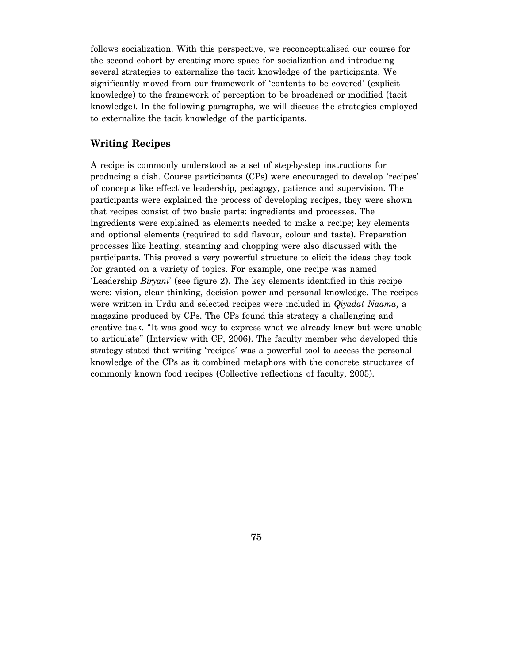follows socialization. With this perspective, we reconceptualised our course for the second cohort by creating more space for socialization and introducing several strategies to externalize the tacit knowledge of the participants. We significantly moved from our framework of 'contents to be covered' (explicit knowledge) to the framework of perception to be broadened or modified (tacit knowledge). In the following paragraphs, we will discuss the strategies employed to externalize the tacit knowledge of the participants.

#### **Writing Recipes**

A recipe is commonly understood as a set of step-by-step instructions for producing a dish. Course participants (CPs) were encouraged to develop 'recipes' of concepts like effective leadership, pedagogy, patience and supervision. The participants were explained the process of developing recipes, they were shown that recipes consist of two basic parts: ingredients and processes. The ingredients were explained as elements needed to make a recipe; key elements and optional elements (required to add flavour, colour and taste). Preparation processes like heating, steaming and chopping were also discussed with the participants. This proved a very powerful structure to elicit the ideas they took for granted on a variety of topics. For example, one recipe was named 'Leadership *Biryani*' (see figure 2). The key elements identified in this recipe were: vision, clear thinking, decision power and personal knowledge. The recipes were written in Urdu and selected recipes were included in *Qiyadat Naama*, a magazine produced by CPs. The CPs found this strategy a challenging and creative task. "It was good way to express what we already knew but were unable to articulate" (Interview with CP, 2006). The faculty member who developed this strategy stated that writing 'recipes' was a powerful tool to access the personal knowledge of the CPs as it combined metaphors with the concrete structures of commonly known food recipes (Collective reflections of faculty, 2005).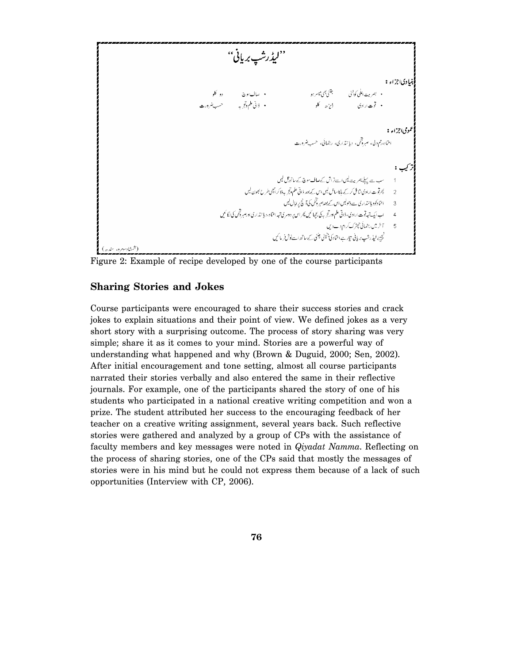$$
\frac{1}{2} \sum_{j=1}^{n} \sum_{j=1}^{n} \sum_{j=1}^{n} \sum_{j=1}^{n} \sum_{j=1}^{n} \sum_{j=1}^{n} \sum_{j=1}^{n} \sum_{j=1}^{n} \sum_{j=1}^{n} \sum_{j=1}^{n} \sum_{j=1}^{n} \sum_{j=1}^{n} \sum_{j=1}^{n} \sum_{j=1}^{n} \sum_{j=1}^{n} \sum_{j=1}^{n} \sum_{j=1}^{n} \sum_{j=1}^{n} \sum_{j=1}^{n} \sum_{j=1}^{n} \sum_{j=1}^{n} \sum_{j=1}^{n} \sum_{j=1}^{n} \sum_{j=1}^{n} \sum_{j=1}^{n} \sum_{j=1}^{n} \sum_{j=1}^{n} \sum_{j=1}^{n} \sum_{j=1}^{n} \sum_{j=1}^{n} \sum_{j=1}^{n} \sum_{j=1}^{n} \sum_{j=1}^{n} \sum_{j=1}^{n} \sum_{j=1}^{n} \sum_{j=1}^{n} \sum_{j=1}^{n} \sum_{j=1}^{n} \sum_{j=1}^{n} \sum_{j=1}^{n} \sum_{j=1}^{n} \sum_{j=1}^{n} \sum_{j=1}^{n} \sum_{j=1}^{n} \sum_{j=1}^{n} \sum_{j=1}^{n} \sum_{j=1}^{n} \sum_{j=1}^{n} \sum_{j=1}^{n} \sum_{j=1}^{n} \sum_{j=1}^{n} \sum_{j=1}^{n} \sum_{j=1}^{n} \sum_{j=1}^{n} \sum_{j=1}^{n} \sum_{j=1}^{n} \sum_{j=1}^{n} \sum_{j=1}^{n} \sum_{j=1}^{n} \sum_{j=1}^{n} \sum_{j=1}^{n} \sum_{j=1}^{n} \sum_{j=1}^{n} \sum_{j=1}^{n} \sum_{j=1}^{n} \sum_{j=1}^{n} \sum_{j=1}^{n} \sum_{j=1}^{n} \sum_{j=1}^{n} \sum_{j=1}^{n} \sum_{j=1}^{n} \sum_{j=1}^{n} \sum_{j=1}^{n} \sum_{j=1}^{n} \sum_{j=1}^{n} \sum_{
$$

Figure 2: Example of recipe developed by one of the course participants

#### **Sharing Stories and Jokes**

Course participants were encouraged to share their success stories and crack jokes to explain situations and their point of view. We defined jokes as a very short story with a surprising outcome. The process of story sharing was very simple; share it as it comes to your mind. Stories are a powerful way of understanding what happened and why (Brown & Duguid, 2000; Sen, 2002). After initial encouragement and tone setting, almost all course participants narrated their stories verbally and also entered the same in their reflective journals. For example, one of the participants shared the story of one of his students who participated in a national creative writing competition and won a prize. The student attributed her success to the encouraging feedback of her teacher on a creative writing assignment, several years back. Such reflective stories were gathered and analyzed by a group of CPs with the assistance of faculty members and key messages were noted in *Qiyadat Namma*. Reflecting on the process of sharing stories, one of the CPs said that mostly the messages of stories were in his mind but he could not express them because of a lack of such opportunities (Interview with CP, 2006).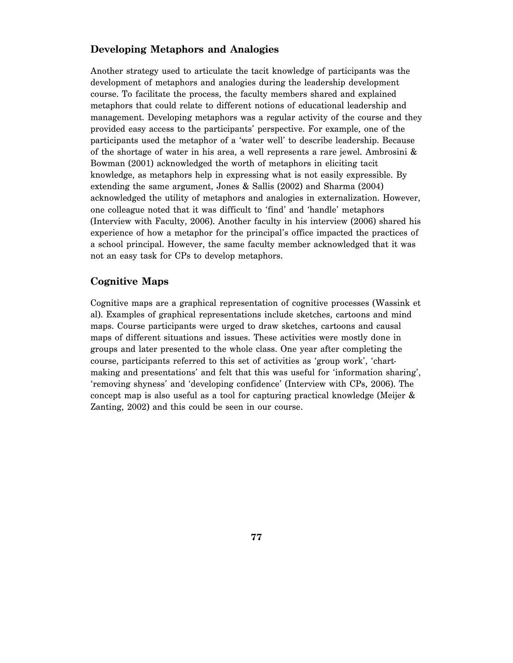#### **Developing Metaphors and Analogies**

Another strategy used to articulate the tacit knowledge of participants was the development of metaphors and analogies during the leadership development course. To facilitate the process, the faculty members shared and explained metaphors that could relate to different notions of educational leadership and management. Developing metaphors was a regular activity of the course and they provided easy access to the participants' perspective. For example, one of the participants used the metaphor of a 'water well' to describe leadership. Because of the shortage of water in his area, a well represents a rare jewel. Ambrosini & Bowman (2001) acknowledged the worth of metaphors in eliciting tacit knowledge, as metaphors help in expressing what is not easily expressible. By extending the same argument, Jones & Sallis (2002) and Sharma (2004) acknowledged the utility of metaphors and analogies in externalization. However, one colleague noted that it was difficult to 'find' and 'handle' metaphors (Interview with Faculty, 2006). Another faculty in his interview (2006) shared his experience of how a metaphor for the principal's office impacted the practices of a school principal. However, the same faculty member acknowledged that it was not an easy task for CPs to develop metaphors.

#### **Cognitive Maps**

Cognitive maps are a graphical representation of cognitive processes (Wassink et al). Examples of graphical representations include sketches, cartoons and mind maps. Course participants were urged to draw sketches, cartoons and causal maps of different situations and issues. These activities were mostly done in groups and later presented to the whole class. One year after completing the course, participants referred to this set of activities as 'group work', 'chartmaking and presentations' and felt that this was useful for 'information sharing', 'removing shyness' and 'developing confidence' (Interview with CPs, 2006). The concept map is also useful as a tool for capturing practical knowledge (Meijer & Zanting, 2002) and this could be seen in our course.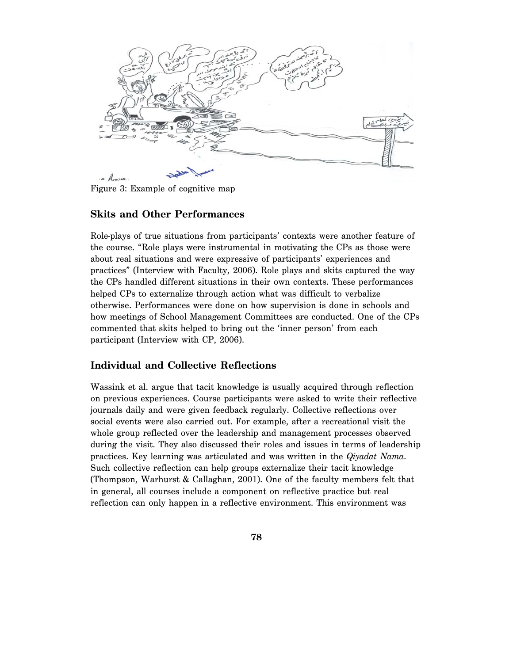من<br>منظم من o Amore

Figure 3: Example of cognitive map

#### **Skits and Other Performances**

Role-plays of true situations from participants' contexts were another feature of the course. "Role plays were instrumental in motivating the CPs as those were about real situations and were expressive of participants' experiences and practices" (Interview with Faculty, 2006). Role plays and skits captured the way the CPs handled different situations in their own contexts. These performances helped CPs to externalize through action what was difficult to verbalize otherwise. Performances were done on how supervision is done in schools and how meetings of School Management Committees are conducted. One of the CPs commented that skits helped to bring out the 'inner person' from each participant (Interview with CP, 2006).

#### **Individual and Collective Reflections**

Wassink et al. argue that tacit knowledge is usually acquired through reflection on previous experiences. Course participants were asked to write their reflective journals daily and were given feedback regularly. Collective reflections over social events were also carried out. For example, after a recreational visit the whole group reflected over the leadership and management processes observed during the visit. They also discussed their roles and issues in terms of leadership practices. Key learning was articulated and was written in the *Qiyadat Nama*. Such collective reflection can help groups externalize their tacit knowledge (Thompson, Warhurst & Callaghan, 2001). One of the faculty members felt that in general, all courses include a component on reflective practice but real reflection can only happen in a reflective environment. This environment was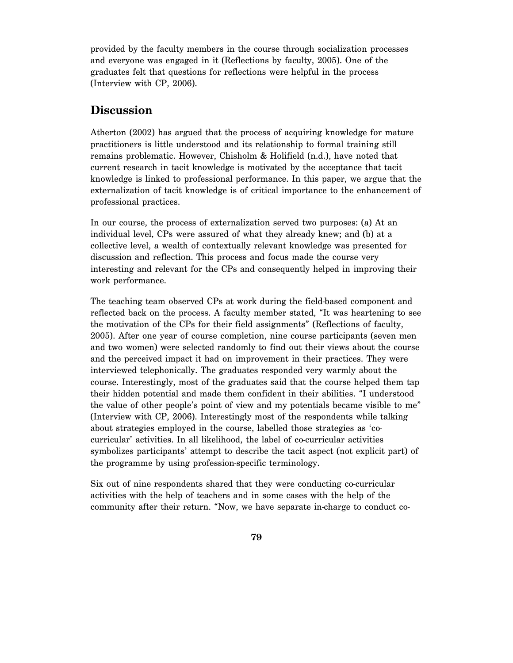provided by the faculty members in the course through socialization processes and everyone was engaged in it (Reflections by faculty, 2005). One of the graduates felt that questions for reflections were helpful in the process (Interview with CP, 2006).

## **Discussion**

Atherton (2002) has argued that the process of acquiring knowledge for mature practitioners is little understood and its relationship to formal training still remains problematic. However, Chisholm & Holifield (n.d.), have noted that current research in tacit knowledge is motivated by the acceptance that tacit knowledge is linked to professional performance. In this paper, we argue that the externalization of tacit knowledge is of critical importance to the enhancement of professional practices.

In our course, the process of externalization served two purposes: (a) At an individual level, CPs were assured of what they already knew; and (b) at a collective level, a wealth of contextually relevant knowledge was presented for discussion and reflection. This process and focus made the course very interesting and relevant for the CPs and consequently helped in improving their work performance.

The teaching team observed CPs at work during the field-based component and reflected back on the process. A faculty member stated, "It was heartening to see the motivation of the CPs for their field assignments" (Reflections of faculty, 2005). After one year of course completion, nine course participants (seven men and two women) were selected randomly to find out their views about the course and the perceived impact it had on improvement in their practices. They were interviewed telephonically. The graduates responded very warmly about the course. Interestingly, most of the graduates said that the course helped them tap their hidden potential and made them confident in their abilities. "I understood the value of other people's point of view and my potentials became visible to me" (Interview with CP, 2006). Interestingly most of the respondents while talking about strategies employed in the course, labelled those strategies as 'cocurricular' activities. In all likelihood, the label of co-curricular activities symbolizes participants' attempt to describe the tacit aspect (not explicit part) of the programme by using profession-specific terminology.

Six out of nine respondents shared that they were conducting co-curricular activities with the help of teachers and in some cases with the help of the community after their return. "Now, we have separate in-charge to conduct co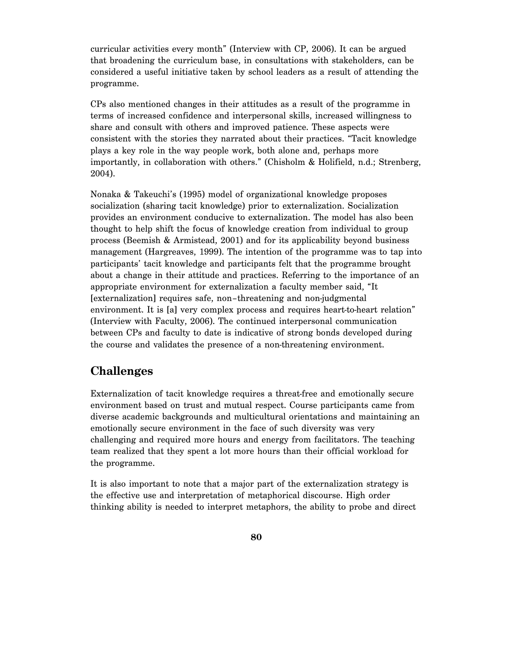curricular activities every month" (Interview with CP, 2006). It can be argued that broadening the curriculum base, in consultations with stakeholders, can be considered a useful initiative taken by school leaders as a result of attending the programme.

CPs also mentioned changes in their attitudes as a result of the programme in terms of increased confidence and interpersonal skills, increased willingness to share and consult with others and improved patience. These aspects were consistent with the stories they narrated about their practices. "Tacit knowledge plays a key role in the way people work, both alone and, perhaps more importantly, in collaboration with others." (Chisholm & Holifield, n.d.; Strenberg, 2004).

Nonaka & Takeuchi's (1995) model of organizational knowledge proposes socialization (sharing tacit knowledge) prior to externalization. Socialization provides an environment conducive to externalization. The model has also been thought to help shift the focus of knowledge creation from individual to group process (Beemish & Armistead, 2001) and for its applicability beyond business management (Hargreaves, 1999). The intention of the programme was to tap into participants' tacit knowledge and participants felt that the programme brought about a change in their attitude and practices. Referring to the importance of an appropriate environment for externalization a faculty member said, "It [externalization] requires safe, non–threatening and non-judgmental environment. It is [a] very complex process and requires heart-to-heart relation" (Interview with Faculty, 2006). The continued interpersonal communication between CPs and faculty to date is indicative of strong bonds developed during the course and validates the presence of a non-threatening environment.

### **Challenges**

Externalization of tacit knowledge requires a threat-free and emotionally secure environment based on trust and mutual respect. Course participants came from diverse academic backgrounds and multicultural orientations and maintaining an emotionally secure environment in the face of such diversity was very challenging and required more hours and energy from facilitators. The teaching team realized that they spent a lot more hours than their official workload for the programme.

It is also important to note that a major part of the externalization strategy is the effective use and interpretation of metaphorical discourse. High order thinking ability is needed to interpret metaphors, the ability to probe and direct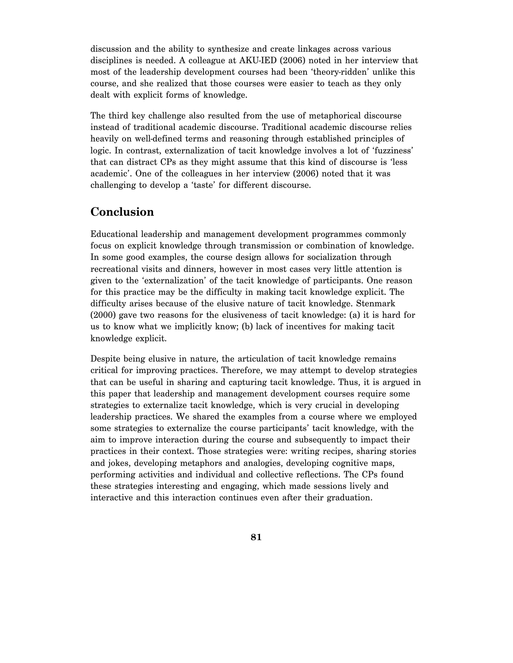discussion and the ability to synthesize and create linkages across various disciplines is needed. A colleague at AKU-IED (2006) noted in her interview that most of the leadership development courses had been 'theory-ridden' unlike this course, and she realized that those courses were easier to teach as they only dealt with explicit forms of knowledge.

The third key challenge also resulted from the use of metaphorical discourse instead of traditional academic discourse. Traditional academic discourse relies heavily on well-defined terms and reasoning through established principles of logic. In contrast, externalization of tacit knowledge involves a lot of 'fuzziness' that can distract CPs as they might assume that this kind of discourse is 'less academic'. One of the colleagues in her interview (2006) noted that it was challenging to develop a 'taste' for different discourse.

# **Conclusion**

Educational leadership and management development programmes commonly focus on explicit knowledge through transmission or combination of knowledge. In some good examples, the course design allows for socialization through recreational visits and dinners, however in most cases very little attention is given to the 'externalization' of the tacit knowledge of participants. One reason for this practice may be the difficulty in making tacit knowledge explicit. The difficulty arises because of the elusive nature of tacit knowledge. Stenmark (2000) gave two reasons for the elusiveness of tacit knowledge: (a) it is hard for us to know what we implicitly know; (b) lack of incentives for making tacit knowledge explicit.

Despite being elusive in nature, the articulation of tacit knowledge remains critical for improving practices. Therefore, we may attempt to develop strategies that can be useful in sharing and capturing tacit knowledge. Thus, it is argued in this paper that leadership and management development courses require some strategies to externalize tacit knowledge, which is very crucial in developing leadership practices. We shared the examples from a course where we employed some strategies to externalize the course participants' tacit knowledge, with the aim to improve interaction during the course and subsequently to impact their practices in their context. Those strategies were: writing recipes, sharing stories and jokes, developing metaphors and analogies, developing cognitive maps, performing activities and individual and collective reflections. The CPs found these strategies interesting and engaging, which made sessions lively and interactive and this interaction continues even after their graduation.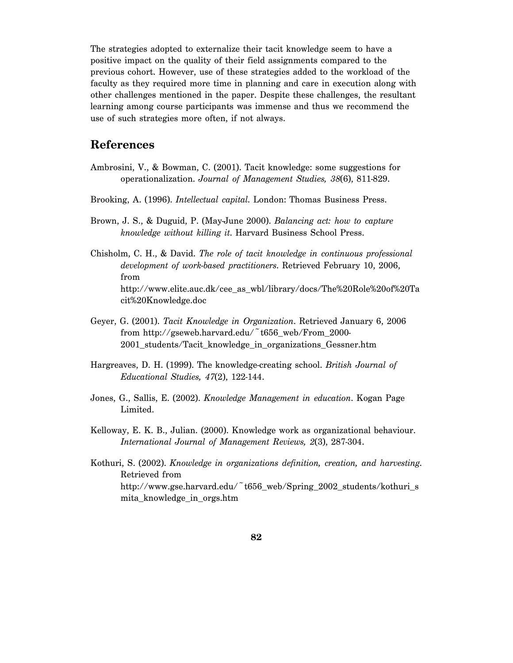The strategies adopted to externalize their tacit knowledge seem to have a positive impact on the quality of their field assignments compared to the previous cohort. However, use of these strategies added to the workload of the faculty as they required more time in planning and care in execution along with other challenges mentioned in the paper. Despite these challenges, the resultant learning among course participants was immense and thus we recommend the use of such strategies more often, if not always.

#### **References**

- Ambrosini, V., & Bowman, C. (2001). Tacit knowledge: some suggestions for operationalization. *Journal of Management Studies, 38*(6), 811-829.
- Brooking, A. (1996). *Intellectual capital*. London: Thomas Business Press.
- Brown, J. S., & Duguid, P. (May-June 2000). *Balancing act: how to capture knowledge without killing it*. Harvard Business School Press.
- Chisholm, C. H., & David. *The role of tacit knowledge in continuous professional development of work-based practitioners*. Retrieved February 10, 2006, from http://www.elite.auc.dk/cee\_as\_wbl/library/docs/The%20Role%20of%20Ta cit%20Knowledge.doc
- Geyer, G. (2001). *Tacit Knowledge in Organization*. Retrieved January 6, 2006 from http://gseweb.harvard.edu/ $\tilde{\phantom{a}}$ t656 web/From 2000-2001\_students/Tacit\_knowledge\_in\_organizations\_Gessner.htm
- Hargreaves, D. H. (1999). The knowledge-creating school. *British Journal of Educational Studies, 47*(2), 122-144.
- Jones, G., Sallis, E. (2002). *Knowledge Management in education*. Kogan Page Limited.
- Kelloway, E. K. B., Julian. (2000). Knowledge work as organizational behaviour. *International Journal of Management Reviews, 2*(3), 287-304.
- Kothuri, S. (2002). *Knowledge in organizations definition, creation, and harvesting*. Retrieved from http://www.gse.harvard.edu/~t656\_web/Spring\_2002\_students/kothuri\_s mita\_knowledge\_in\_orgs.htm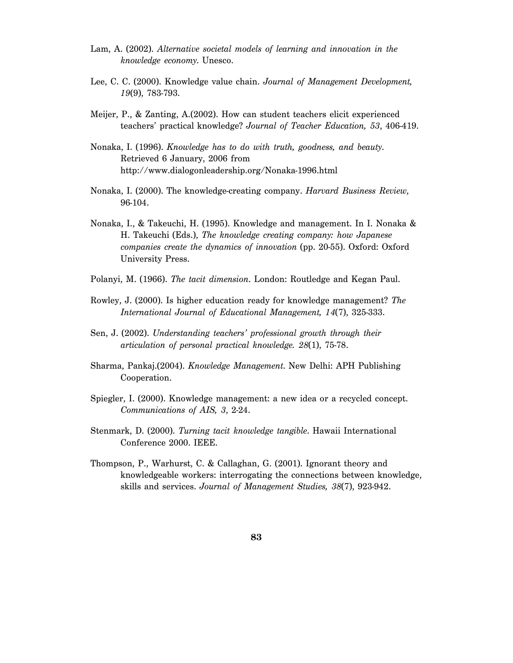- Lam, A. (2002). *Alternative societal models of learning and innovation in the knowledge economy*. Unesco.
- Lee, C. C. (2000). Knowledge value chain. *Journal of Management Development, 19*(9), 783-793.
- Meijer, P., & Zanting, A.(2002). How can student teachers elicit experienced teachers' practical knowledge? *Journal of Teacher Education, 53*, 406-419.
- Nonaka, I. (1996). *Knowledge has to do with truth, goodness, and beauty*. Retrieved 6 January, 2006 from http://www.dialogonleadership.org/Nonaka-1996.html
- Nonaka, I. (2000). The knowledge-creating company. *Harvard Business Review*, 96-104.
- Nonaka, I., & Takeuchi, H. (1995). Knowledge and management. In I. Nonaka & H. Takeuchi (Eds.), *The knowledge creating company: how Japanese companies create the dynamics of innovation* (pp. 20-55). Oxford: Oxford University Press.
- Polanyi, M. (1966). *The tacit dimension*. London: Routledge and Kegan Paul.
- Rowley, J. (2000). Is higher education ready for knowledge management? *The International Journal of Educational Management, 14*(7), 325-333.
- Sen, J. (2002). *Understanding teachers' professional growth through their articulation of personal practical knowledge. 28*(1), 75-78.
- Sharma, Pankaj.(2004). *Knowledge Management*. New Delhi: APH Publishing Cooperation.
- Spiegler, I. (2000). Knowledge management: a new idea or a recycled concept. *Communications of AIS, 3*, 2-24.
- Stenmark, D. (2000). *Turning tacit knowledge tangible*. Hawaii International Conference 2000. IEEE.
- Thompson, P., Warhurst, C. & Callaghan, G. (2001). Ignorant theory and knowledgeable workers: interrogating the connections between knowledge, skills and services. *Journal of Management Studies, 38*(7), 923-942.